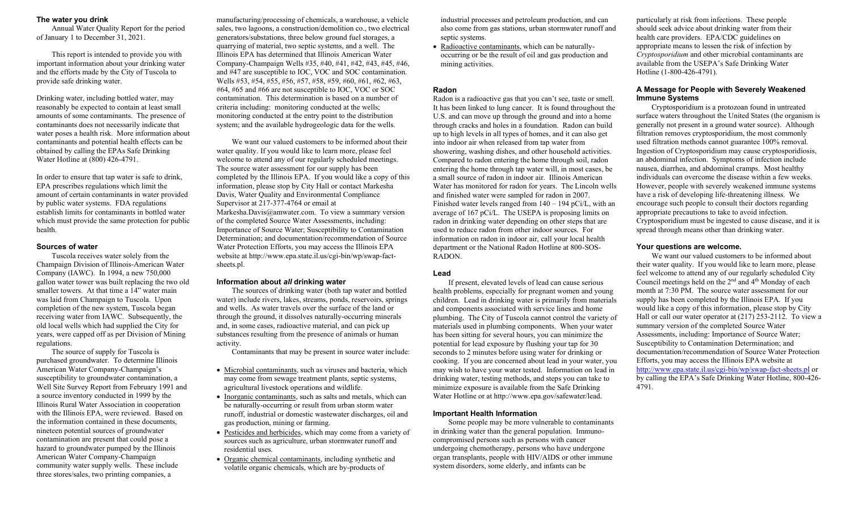## **The water you drink**

Annual Water Quality Report for the period of January 1 to December 31, 2021.

This report is intended to provide you with important information about your drinking water and the efforts made by the City of Tuscola to provide safe drinking water.

Drinking water, including bottled water, may reasonably be expected to contain at least small amounts of some contaminants. The presence of contaminants does not necessarily indicate that water poses a health risk. More information about contaminants and potential health effects can be obtained by calling the EPAs Safe Drinking Water Hotline at (800) 426-4791.

In order to ensure that tap water is safe to drink, EPA prescribes regulations which limit the amount of certain contaminants in water provided by public water systems. FDA regulations establish limits for contaminants in bottled water which must provide the same protection for public health.

# **Sources of water**

Tuscola receives water solely from the Champaign Division of Illinois-American Water Company (IAWC). In 1994, a new 750,000 gallon water tower was built replacing the two old smaller towers. At that time a 14" water main was laid from Champaign to Tuscola. Upon completion of the new system, Tuscola began receiving water from IAWC. Subsequently, the old local wells which had supplied the City for years, were capped off as per Division of Mining regulations.

The source of supply for Tuscola is purchased groundwater. To determine Illinois American Water Company-Champaign's susceptibility to groundwater contamination, a Well Site Survey Report from February 1991 and a source inventory conducted in 1999 by the Illinois Rural Water Association in cooperation with the Illinois EPA, were reviewed. Based on the information contained in these documents, nineteen potential sources of groundwater contamination are present that could pose a hazard to groundwater pumped by the Illinois American Water Company-Champaign community water supply wells. These include three stores/sales, two printing companies, a

manufacturing/processing of chemicals, a warehouse, a vehicle sales, two lagoons, a construction/demolition co., two electrical generators/substations, three below ground fuel storages, a quarrying of material, two septic systems, and a well. The Illinois EPA has determined that Illinois American Water Company-Champaign Wells #35, #40, #41, #42, #43, #45, #46, and #47 are susceptible to IOC, VOC and SOC contamination. Wells #53, #54, #55, #56, #57, #58, #59, #60, #61, #62, #63, #64, #65 and #66 are not susceptible to IOC, VOC or SOC contamination. This determination is based on a number of criteria including: monitoring conducted at the wells; monitoring conducted at the entry point to the distribution system; and the available hydrogeologic data for the wells.

We want our valued customers to be informed about their water quality. If you would like to learn more, please feel welcome to attend any of our regularly scheduled meetings. The source water assessment for our supply has been completed by the Illinois EPA. If you would like a copy of this information, please stop by City Hall or contact Markesha Davis, Water Quality and Environmental Compliance Supervisor at 217-377-4764 or email at Markesha.Davis@amwater.com. To view a summary version of the completed Source Water Assessments, including: Importance of Source Water; Susceptibility to Contamination Determination; and documentation/recommendation of Source Water Protection Efforts, you may access the Illinois EPA website at http://www.epa.state.il.us/cgi-bin/wp/swap-factsheets.pl.

# **Information about** *all* **drinking water**

The sources of drinking water (both tap water and bottled water) include rivers, lakes, streams, ponds, reservoirs, springs and wells. As water travels over the surface of the land or through the ground, it dissolves naturally-occurring minerals and, in some cases, radioactive material, and can pick up substances resulting from the presence of animals or human activity.

Contaminants that may be present in source water include:

- Microbial contaminants, such as viruses and bacteria, which may come from sewage treatment plants, septic systems, agricultural livestock operations and wildlife.
- Inorganic contaminants, such as salts and metals, which can be naturally-occurring or result from urban storm water runoff, industrial or domestic wastewater discharges, oil and gas production, mining or farming.
- Pesticides and herbicides, which may come from a variety of sources such as agriculture, urban stormwater runoff and residential uses.
- Organic chemical contaminants, including synthetic and volatile organic chemicals, which are by-products of

industrial processes and petroleum production, and can also come from gas stations, urban stormwater runoff and septic systems.

• Radioactive contaminants, which can be naturallyoccurring or be the result of oil and gas production and mining activities.

# **Radon**

Radon is a radioactive gas that you can't see, taste or smell. It has been linked to lung cancer. It is found throughout the U.S. and can move up through the ground and into a home through cracks and holes in a foundation. Radon can build up to high levels in all types of homes, and it can also get into indoor air when released from tap water from showering, washing dishes, and other household activities. Compared to radon entering the home through soil, radon entering the home through tap water will, in most cases, be a small source of radon in indoor air. Illinois American Water has monitored for radon for years. The Lincoln wells and finished water were sampled for radon in 2007. Finished water levels ranged from 140 – 194 pCi/L, with an average of 167 pCi/L. The USEPA is proposing limits on radon in drinking water depending on other steps that are used to reduce radon from other indoor sources. For information on radon in indoor air, call your local health department or the National Radon Hotline at 800-SOS-RADON.

# **Lead**

If present, elevated levels of lead can cause serious health problems, especially for pregnant women and young children. Lead in drinking water is primarily from materials and components associated with service lines and home plumbing. The City of Tuscola cannot control the variety of materials used in plumbing components. When your water has been sitting for several hours, you can minimize the potential for lead exposure by flushing your tap for 30 seconds to 2 minutes before using water for drinking or cooking. If you are concerned about lead in your water, you may wish to have your water tested. Information on lead in drinking water, testing methods, and steps you can take to minimize exposure is available from the Safe Drinking Water Hotline or at http://www.epa.gov/safewater/lead.

# **Important Health Information**

Some people may be more vulnerable to contaminants in drinking water than the general population. Immunocompromised persons such as persons with cancer undergoing chemotherapy, persons who have undergone organ transplants, people with HIV/AIDS or other immune system disorders, some elderly, and infants can be

particularly at risk from infections. These people should seek advice about drinking water from their health care providers. EPA/CDC guidelines on appropriate means to lessen the risk of infection by *Cryptosporidium* and other microbial contaminants are available from the USEPA's Safe Drinking Water Hotline (1-800-426-4791).

## **A Message for People with Severely Weakened Immune Systems**

Cryptosporidium is a protozoan found in untreated surface waters throughout the United States (the organism is generally not present in a ground water source). Although filtration removes cryptosporidium, the most commonly used filtration methods cannot guarantee 100% removal. Ingestion of Cryptosporidium may cause cryptosporidiosis, an abdominal infection. Symptoms of infection include nausea, diarrhea, and abdominal cramps. Most healthy individuals can overcome the disease within a few weeks. However, people with severely weakened immune systems have a risk of developing life-threatening illness. We encourage such people to consult their doctors regarding appropriate precautions to take to avoid infection. Cryptosporidium must be ingested to cause disease, and it is spread through means other than drinking water.

# **Your questions are welcome.**

We want our valued customers to be informed about their water quality. If you would like to learn more, please feel welcome to attend any of our regularly scheduled City Council meetings held on the  $2<sup>nd</sup>$  and  $4<sup>th</sup>$  Monday of each month at 7:30 PM. The source water assessment for our supply has been completed by the Illinois EPA. If you would like a copy of this information, please stop by City Hall or call our water operator at (217) 253-2112. To view a summary version of the completed Source Water Assessments, including: Importance of Source Water; Susceptibility to Contamination Determination; and documentation/recommendation of Source Water Protection Efforts, you may access the Illinois EPA website at <http://www.epa.state.il.us/cgi-bin/wp/swap-fact-sheets.pl> or by calling the EPA's Safe Drinking Water Hotline, 800-426- 4791.